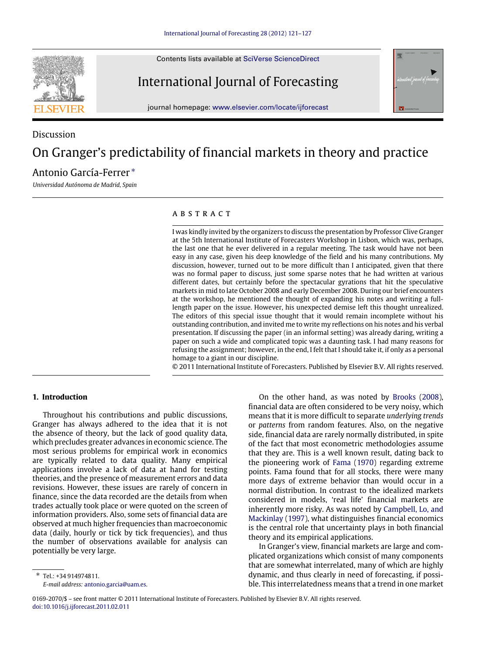Contents lists available at [SciVerse ScienceDirect](http://www.elsevier.com/locate/ijforecast)



Discussion



## International Journal of Forecasting

journal homepage: [www.elsevier.com/locate/ijforecast](http://www.elsevier.com/locate/ijforecast)

# On Granger's predictability of financial markets in theory and practice

### Antonio García-Ferrer [∗](#page-0-0)

*Universidad Autónoma de Madrid, Spain*

#### a b s t r a c t

I was kindly invited by the organizers to discuss the presentation by Professor Clive Granger at the 5th International Institute of Forecasters Workshop in Lisbon, which was, perhaps, the last one that he ever delivered in a regular meeting. The task would have not been easy in any case, given his deep knowledge of the field and his many contributions. My discussion, however, turned out to be more difficult than I anticipated, given that there was no formal paper to discuss, just some sparse notes that he had written at various different dates, but certainly before the spectacular gyrations that hit the speculative markets in mid to late October 2008 and early December 2008. During our brief encounters at the workshop, he mentioned the thought of expanding his notes and writing a fulllength paper on the issue. However, his unexpected demise left this thought unrealized. The editors of this special issue thought that it would remain incomplete without his outstanding contribution, and invited me to write my reflections on his notes and his verbal presentation. If discussing the paper (in an informal setting) was already daring, writing a paper on such a wide and complicated topic was a daunting task. I had many reasons for refusing the assignment; however, in the end, I felt that I should take it, if only as a personal homage to a giant in our discipline.

© 2011 International Institute of Forecasters. Published by Elsevier B.V. All rights reserved.

#### **1. Introduction**

Throughout his contributions and public discussions, Granger has always adhered to the idea that it is not the absence of theory, but the lack of good quality data, which precludes greater advances in economic science. The most serious problems for empirical work in economics are typically related to data quality. Many empirical applications involve a lack of data at hand for testing theories, and the presence of measurement errors and data revisions. However, these issues are rarely of concern in finance, since the data recorded are the details from when trades actually took place or were quoted on the screen of information providers. Also, some sets of financial data are observed at much higher frequencies than macroeconomic data (daily, hourly or tick by tick frequencies), and thus the number of observations available for analysis can potentially be very large.

<span id="page-0-0"></span>∗ Tel.: +34 914974811. *E-mail address:* [antonio.garcia@uam.es.](mailto:antonio.garcia@uam.es)

On the other hand, as was noted by [Brooks](#page--1-0) [\(2008\)](#page--1-0), financial data are often considered to be very noisy, which means that it is more difficult to separate *underlying trends* or *patterns* from random features. Also, on the negative side, financial data are rarely normally distributed, in spite of the fact that most econometric methodologies assume that they are. This is a well known result, dating back to the pioneering work of [Fama](#page--1-1) [\(1970\)](#page--1-1) regarding extreme points. Fama found that for all stocks, there were many more days of extreme behavior than would occur in a normal distribution. In contrast to the idealized markets considered in models, 'real life' financial markets are inherently more risky. As was noted by [Campbell,](#page--1-2) [Lo,](#page--1-2) [and](#page--1-2) [Mackinlay](#page--1-2) [\(1997\)](#page--1-2), what distinguishes financial economics is the central role that uncertainty plays in both financial theory and its empirical applications.

In Granger's view, financial markets are large and complicated organizations which consist of many components that are somewhat interrelated, many of which are highly dynamic, and thus clearly in need of forecasting, if possible. This interrelatedness means that a trend in one market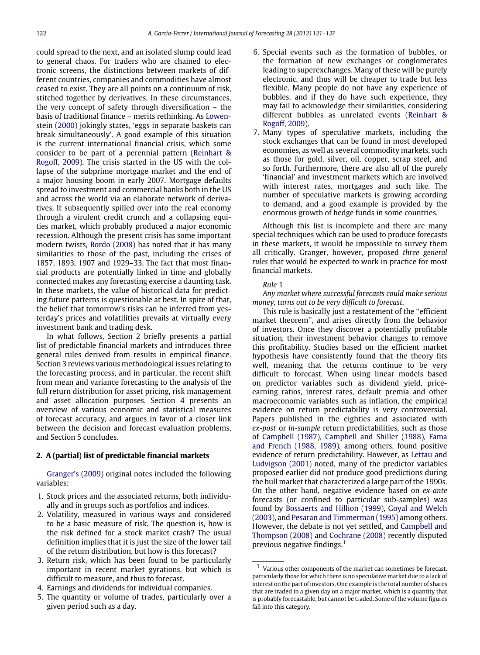could spread to the next, and an isolated slump could lead to general chaos. For traders who are chained to electronic screens, the distinctions between markets of different countries, companies and commodities have almost ceased to exist. They are all points on a continuum of risk, stitched together by derivatives. In these circumstances, the very concept of safety through diversification – the [b](#page--1-3)asis of traditional finance – merits rethinking. As [Lowen](#page--1-3)[stein](#page--1-3) [\(2000\)](#page--1-3) jokingly states, 'eggs in separate baskets can break simultaneously'. A good example of this situation is the current international financial crisis, which some consider to be part of a perennial pattern [\(Reinhart](#page--1-4) [&](#page--1-4) [Rogoff,](#page--1-4) [2009\)](#page--1-4). The crisis started in the US with the collapse of the subprime mortgage market and the end of a major housing boom in early 2007. Mortgage defaults spread to investment and commercial banks both in the US and across the world via an elaborate network of derivatives. It subsequently spilled over into the real economy through a virulent credit crunch and a collapsing equities market, which probably produced a major economic recession. Although the present crisis has some important modern twists, [Bordo](#page--1-5) [\(2008\)](#page--1-5) has noted that it has many similarities to those of the past, including the crises of 1857, 1893, 1907 and 1929–33. The fact that most financial products are potentially linked in time and globally connected makes any forecasting exercise a daunting task. In these markets, the value of historical data for predicting future patterns is questionable at best. In spite of that, the belief that tomorrow's risks can be inferred from yesterday's prices and volatilities prevails at virtually every investment bank and trading desk.

In what follows, Section [2](#page-1-0) briefly presents a partial list of predictable financial markets and introduces three general rules derived from results in empirical finance. Section [3](#page--1-6) reviews various methodological issues relating to the forecasting process, and in particular, the recent shift from mean and variance forecasting to the analysis of the full return distribution for asset pricing, risk management and asset allocation purposes. Section [4](#page--1-7) presents an overview of various economic and statistical measures of forecast accuracy, and argues in favor of a closer link between the decision and forecast evaluation problems, and Section [5](#page--1-8) concludes.

#### <span id="page-1-0"></span>**2. A (partial) list of predictable financial markets**

[Granger's](#page--1-9) [\(2009\)](#page--1-9) original notes included the following variables:

- 1. Stock prices and the associated returns, both individually and in groups such as portfolios and indices.
- 2. Volatility, measured in various ways and considered to be a basic measure of risk. The question is, how is the risk defined for a stock market crash? The usual definition implies that it is just the size of the lower tail of the return distribution, but how is this forecast?
- 3. Return risk, which has been found to be particularly important in recent market gyrations, but which is difficult to measure, and thus to forecast.
- 4. Earnings and dividends for individual companies.
- 5. The quantity or volume of trades, particularly over a given period such as a day.
- 6. Special events such as the formation of bubbles, or the formation of new exchanges or conglomerates leading to superexchanges. Many of these will be purely electronic, and thus will be cheaper to trade but less flexible. Many people do not have any experience of bubbles, and if they do have such experience, they may fail to acknowledge their similarities, considering different bubbles as unrelated events [\(Reinhart](#page--1-4) [&](#page--1-4) [Rogoff,](#page--1-4) [2009\)](#page--1-4).
- 7. Many types of speculative markets, including the stock exchanges that can be found in most developed economies, as well as several commodity markets, such as those for gold, silver, oil, copper, scrap steel, and so forth. Furthermore, there are also all of the purely 'financial' and investment markets which are involved with interest rates, mortgages and such like. The number of speculative markets is growing according to demand, and a good example is provided by the enormous growth of hedge funds in some countries.

Although this list is incomplete and there are many special techniques which can be used to produce forecasts in these markets, it would be impossible to survey them all critically. Granger, however, proposed *three general rules* that would be expected to work in practice for most financial markets.

#### *Rule* 1

*Any market where successful forecasts could make serious money, turns out to be very difficult to forecast*.

This rule is basically just a restatement of the ''efficient market theorem'', and arises directly from the behavior of investors. Once they discover a potentially profitable situation, their investment behavior changes to remove this profitability. Studies based on the efficient market hypothesis have consistently found that the theory fits well, meaning that the returns continue to be very difficult to forecast. When using linear models based on predictor variables such as dividend yield, priceearning ratios, interest rates, default premia and other macroeconomic variables such as inflation, the empirical evidence on return predictability is very controversial. Papers published in the eighties and associated with *ex-post* or *in-sample* return predictabilities, such as those of [Campbell](#page--1-10) [\(1987\)](#page--1-10), [Campbell](#page--1-11) [and](#page--1-11) [Shiller](#page--1-11) [\(1988\)](#page--1-11), [Fama](#page--1-12) [and](#page--1-12) [French](#page--1-12) [\(1988,](#page--1-12) [1989\),](#page--1-13) among others, found positive evidence of return predictability. However, as [Lettau](#page--1-14) [and](#page--1-14) [Ludvigson](#page--1-14) [\(2001\)](#page--1-14) noted, many of the predictor variables proposed earlier did not produce good predictions during the bull market that characterized a large part of the 1990s. On the other hand, negative evidence based on *ex-ante* forecasts (or confined to particular sub-samples) was found by [Bossaerts](#page--1-15) [and](#page--1-15) [Hillion](#page--1-15) [\(1999\)](#page--1-15), [Goyal](#page--1-16) [and](#page--1-16) [Welch](#page--1-16) [\(2003\)](#page--1-16), and [Pesaran](#page--1-17) [and](#page--1-17) [Timmerman](#page--1-17) [\(1995\)](#page--1-17) among others. However, the debate is not yet settled, and [Campbell](#page--1-18) [and](#page--1-18) [Thompson](#page--1-18) [\(2008\)](#page--1-18) and [Cochrane](#page--1-19) [\(2008\)](#page--1-19) recently disputed previous negative findings.[1](#page-1-1)

<span id="page-1-1"></span><sup>1</sup> Various other components of the market can sometimes be forecast, particularly those for which there is no speculative market due to a lack of interest on the part of investors. One example is the total number of shares that are traded in a given day on a major market, which is a quantity that is probably forecastable, but cannot be traded. Some of the volume figures fall into this category.